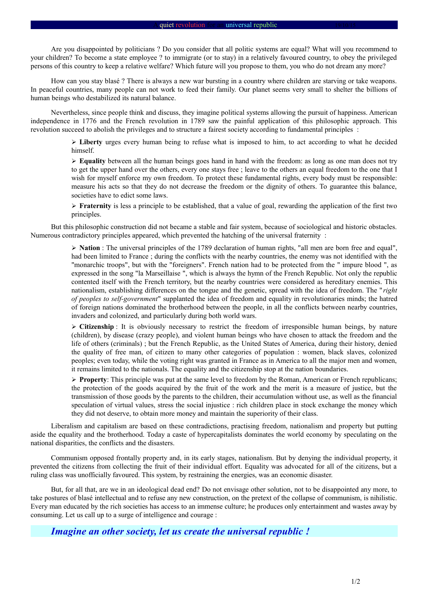Are you disappointed by politicians ? Do you consider that all politic systems are equal? What will you recommend to your children? To become a state employee ? to immigrate (or to stay) in a relatively favoured country, to obey the privileged persons of this country to keep a relative welfare? Which future will you propose to them, you who do not dream any more?

How can you stay blasé ? There is always a new war bursting in a country where children are starving or take weapons. In peaceful countries, many people can not work to feed their family. Our planet seems very small to shelter the billions of human beings who destabilized its natural balance.

Nevertheless, since people think and discuss, they imagine political systems allowing the pursuit of happiness. American independence in 1776 and the French revolution in 1789 saw the painful application of this philosophic approach. This revolution succeed to abolish the privileges and to structure a fairest society according to fundamental principles :

> ➢ **Liberty** urges every human being to refuse what is imposed to him, to act according to what he decided himself.

> ➢ **Equality** between all the human beings goes hand in hand with the freedom: as long as one man does not try to get the upper hand over the others, every one stays free ; leave to the others an equal freedom to the one that I wish for myself enforce my own freedom. To protect these fundamental rights, every body must be responsible: measure his acts so that they do not decrease the freedom or the dignity of others. To guarantee this balance, societies have to edict some laws.

> ➢ **Fraternity** is less a principle to be established, that a value of goal, rewarding the application of the first two principles.

But this philosophic construction did not became a stable and fair system, because of sociological and historic obstacles. Numerous contradictory principles appeared, which prevented the hatching of the universal fraternity :

> ➢ **Nation** : The universal principles of the 1789 declaration of human rights, "all men are born free and equal", had been limited to France ; during the conflicts with the nearby countries, the enemy was not identified with the "monarchic troops", but with the "foreigners". French nation had to be protected from the " impure blood ", as expressed in the song "la Marseillaise ", which is always the hymn of the French Republic. Not only the republic contented itself with the French territory, but the nearby countries were considered as hereditary enemies. This nationalism, establishing differences on the tongue and the genetic, spread with the idea of freedom. The " *right of peoples to self-government*" supplanted the idea of freedom and equality in revolutionaries minds; the hatred of foreign nations dominated the brotherhood between the people, in all the conflicts between nearby countries, invaders and colonized, and particularly during both world wars.

> ➢ **Citizenship** : It is obviously necessary to restrict the freedom of irresponsible human beings, by nature (children), by disease (crazy people), and violent human beings who have chosen to attack the freedom and the life of others (criminals) ; but the French Republic, as the United States of America, during their history, denied the quality of free man, of citizen to many other categories of population : women, black slaves, colonized peoples; even today, while the voting right was granted in France as in America to all the major men and women, it remains limited to the nationals. The equality and the citizenship stop at the nation boundaries.

> ➢ **Property**: This principle was put at the same level to freedom by the Roman, American or French republicans; the protection of the goods acquired by the fruit of the work and the merit is a measure of justice, but the transmission of those goods by the parents to the children, their accumulation without use, as well as the financial speculation of virtual values, stress the social injustice : rich children place in stock exchange the money which they did not deserve, to obtain more money and maintain the superiority of their class.

Liberalism and capitalism are based on these contradictions, practising freedom, nationalism and property but putting aside the equality and the brotherhood. Today a caste of hypercapitalists dominates the world economy by speculating on the national disparities, the conflicts and the disasters.

Communism opposed frontally property and, in its early stages, nationalism. But by denying the individual property, it prevented the citizens from collecting the fruit of their individual effort. Equality was advocated for all of the citizens, but a ruling class was unofficially favoured. This system, by restraining the energies, was an economic disaster.

But, for all that, are we in an ideological dead end? Do not envisage other solution, not to be disappointed any more, to take postures of blasé intellectual and to refuse any new construction, on the pretext of the collapse of communism, is nihilistic. Every man educated by the rich societies has access to an immense culture; he produces only entertainment and wastes away by consuming. Let us call up to a surge of intelligence and courage :

*Imagine an other society, let us create the universal republic !*